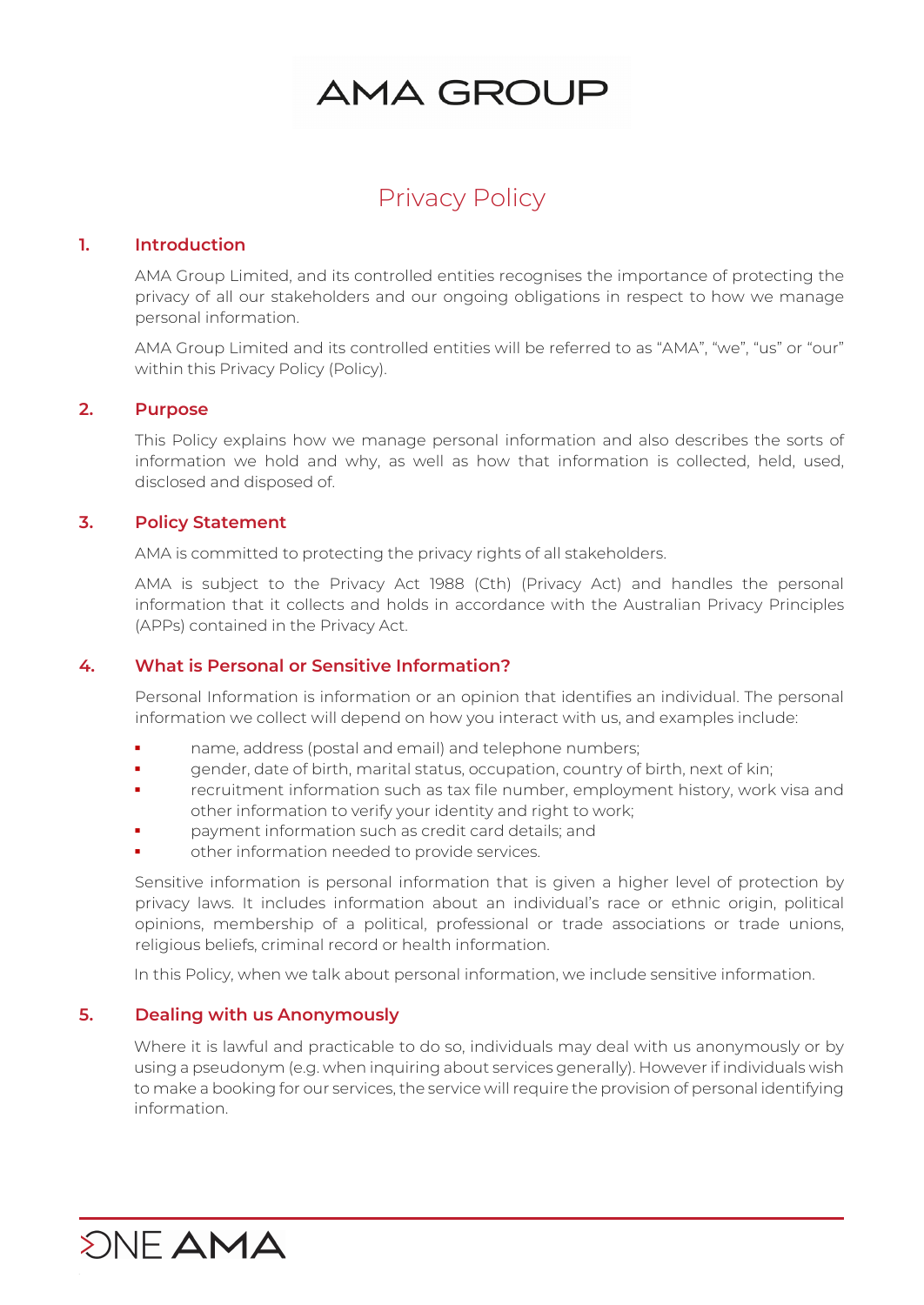# AMA GROUP

# Privacy Policy

#### **1. Introduction**

AMA Group Limited, and its controlled entities recognises the importance of protecting the privacy of all our stakeholders and our ongoing obligations in respect to how we manage personal information.

AMA Group Limited and its controlled entities will be referred to as "AMA", "we", "us" or "our" within this Privacy Policy (Policy).

#### **2. Purpose**

This Policy explains how we manage personal information and also describes the sorts of information we hold and why, as well as how that information is collected, held, used, disclosed and disposed of.

#### **3. Policy Statement**

AMA is committed to protecting the privacy rights of all stakeholders.

AMA is subject to the Privacy Act 1988 (Cth) (Privacy Act) and handles the personal information that it collects and holds in accordance with the Australian Privacy Principles (APPs) contained in the Privacy Act.

#### **4. What is Personal or Sensitive Information?**

Personal Information is information or an opinion that identifies an individual. The personal information we collect will depend on how you interact with us, and examples include:

- name, address (postal and email) and telephone numbers;
- gender, date of birth, marital status, occupation, country of birth, next of kin;
- recruitment information such as tax file number, employment history, work visa and other information to verify your identity and right to work;
- payment information such as credit card details; and
- other information needed to provide services.

Sensitive information is personal information that is given a higher level of protection by privacy laws. It includes information about an individual's race or ethnic origin, political opinions, membership of a political, professional or trade associations or trade unions, religious beliefs, criminal record or health information.

In this Policy, when we talk about personal information, we include sensitive information.

#### **5. Dealing with us Anonymously**

**SNF AMA** 

Where it is lawful and practicable to do so, individuals may deal with us anonymously or by using a pseudonym (e.g. when inquiring about services generally). However if individuals wish to make a booking for our services, the service will require the provision of personal identifying information.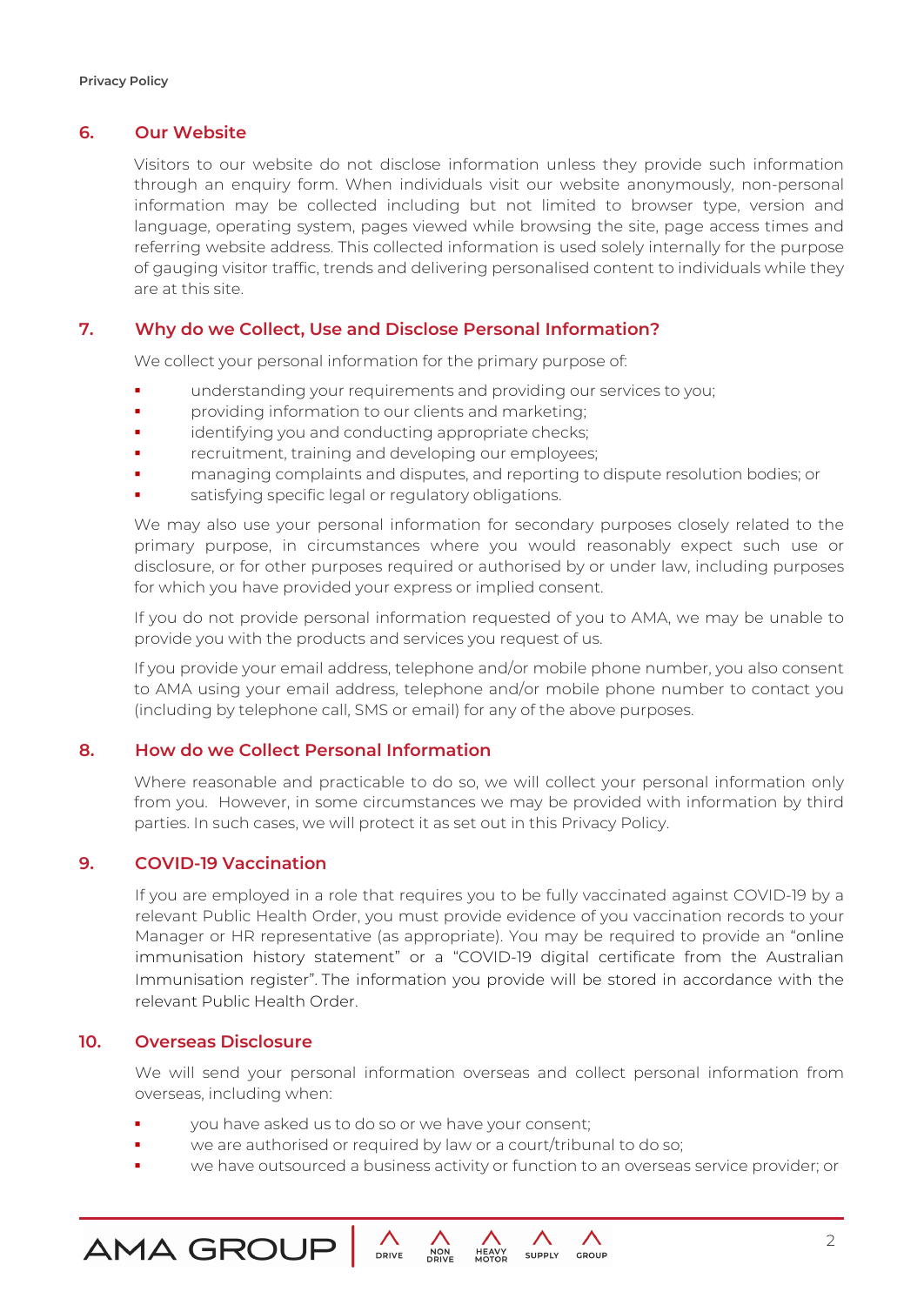#### **6. Our Website**

Visitors to our website do not disclose information unless they provide such information through an enquiry form. When individuals visit our website anonymously, non-personal information may be collected including but not limited to browser type, version and language, operating system, pages viewed while browsing the site, page access times and referring website address. This collected information is used solely internally for the purpose of gauging visitor traffic, trends and delivering personalised content to individuals while they are at this site.

## **7. Why do we Collect, Use and Disclose Personal Information?**

We collect your personal information for the primary purpose of:

- understanding your requirements and providing our services to you;
- **•** providing information to our clients and marketing;
- **identifying you and conducting appropriate checks;**
- recruitment, training and developing our employees;
- managing complaints and disputes, and reporting to dispute resolution bodies; or
- satisfying specific legal or regulatory obligations.

We may also use your personal information for secondary purposes closely related to the primary purpose, in circumstances where you would reasonably expect such use or disclosure, or for other purposes required or authorised by or under law, including purposes for which you have provided your express or implied consent.

If you do not provide personal information requested of you to AMA, we may be unable to provide you with the products and services you request of us.

If you provide your email address, telephone and/or mobile phone number, you also consent to AMA using your email address, telephone and/or mobile phone number to contact you (including by telephone call, SMS or email) for any of the above purposes.

#### **8. How do we Collect Personal Information**

Where reasonable and practicable to do so, we will collect your personal information only from you. However, in some circumstances we may be provided with information by third parties. In such cases, we will protect it as set out in this Privacy Policy.

#### **9. COVID-19 Vaccination**

If you are employed in a role that requires you to be fully vaccinated against COVID-19 by a relevant Public Health Order, you must provide evidence of you vaccination records to your Manager or HR representative (as appropriate). You may be required to provide an "online immunisation history statement" or a "COVID-19 digital certificate from the Australian Immunisation register". The information you provide will be stored in accordance with the relevant Public Health Order.

#### **10. Overseas Disclosure**

**AMA GROUF** 

We will send your personal information overseas and collect personal information from overseas, including when:

- you have asked us to do so or we have your consent;
- we are authorised or required by law or a court/tribunal to do so;
- we have outsourced a business activity or function to an overseas service provider; or

**SUPPLY** 

GROUP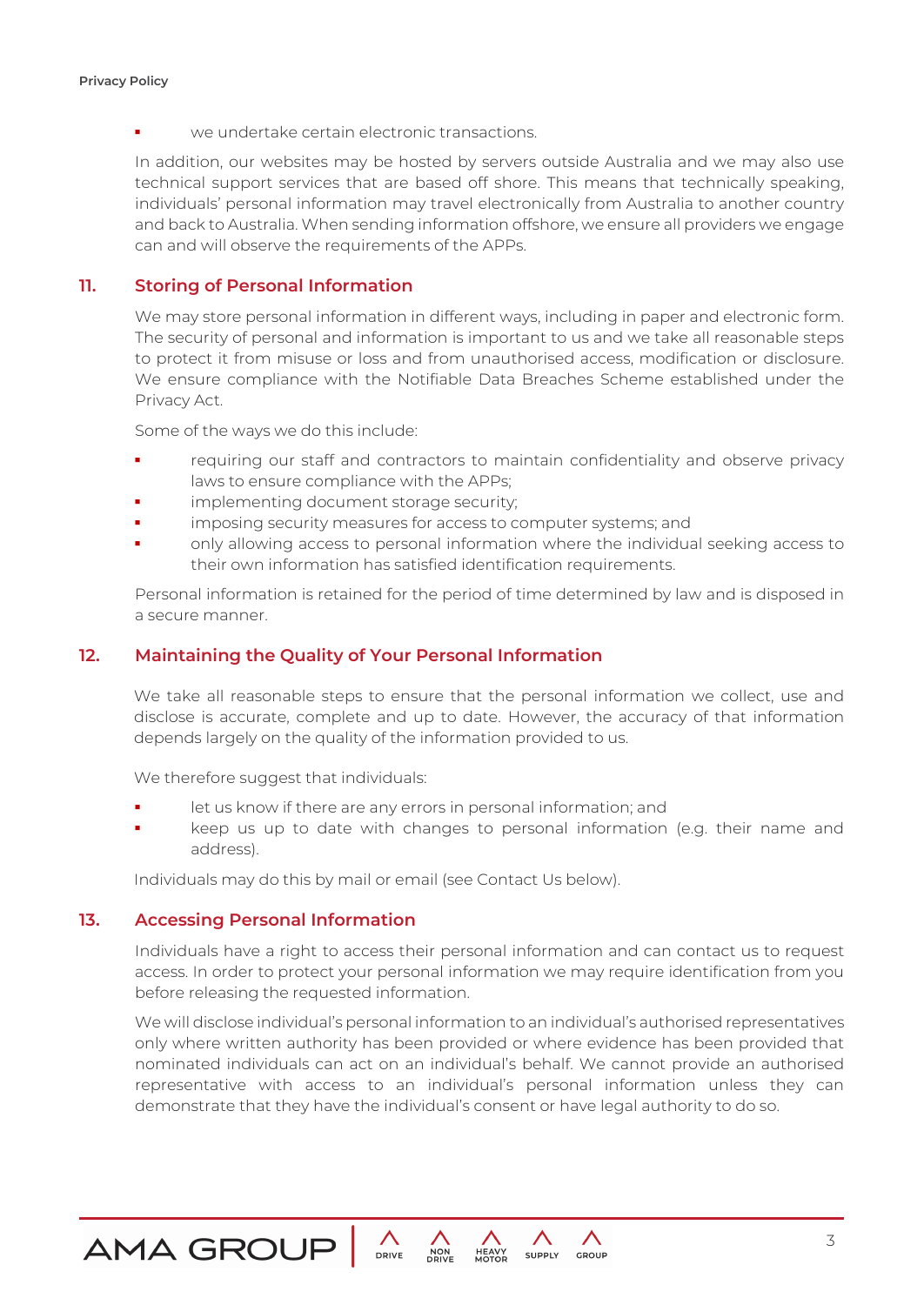**•** we undertake certain electronic transactions.

In addition, our websites may be hosted by servers outside Australia and we may also use technical support services that are based off shore. This means that technically speaking, individuals' personal information may travel electronically from Australia to another country and back to Australia. When sending information offshore, we ensure all providers we engage can and will observe the requirements of the APPs.

## **11. Storing of Personal Information**

We may store personal information in different ways, including in paper and electronic form. The security of personal and information is important to us and we take all reasonable steps to protect it from misuse or loss and from unauthorised access, modification or disclosure. We ensure compliance with the Notifiable Data Breaches Scheme established under the Privacy Act.

Some of the ways we do this include:

- requiring our staff and contractors to maintain confidentiality and observe privacy laws to ensure compliance with the APPs;
- implementing document storage security;
- imposing security measures for access to computer systems; and
- only allowing access to personal information where the individual seeking access to their own information has satisfied identification requirements.

Personal information is retained for the period of time determined by law and is disposed in a secure manner.

#### **12. Maintaining the Quality of Your Personal Information**

We take all reasonable steps to ensure that the personal information we collect, use and disclose is accurate, complete and up to date. However, the accuracy of that information depends largely on the quality of the information provided to us.

We therefore suggest that individuals:

- let us know if there are any errors in personal information; and
- keep us up to date with changes to personal information (e.g. their name and address).

Individuals may do this by mail or email (see Contact Us below).

#### **13. Accessing Personal Information**

Individuals have a right to access their personal information and can contact us to request access. In order to protect your personal information we may require identification from you before releasing the requested information.

We will disclose individual's personal information to an individual's authorised representatives only where written authority has been provided or where evidence has been provided that nominated individuals can act on an individual's behalf. We cannot provide an authorised representative with access to an individual's personal information unless they can demonstrate that they have the individual's consent or have legal authority to do so.

**SUPPLY** 

GROUP